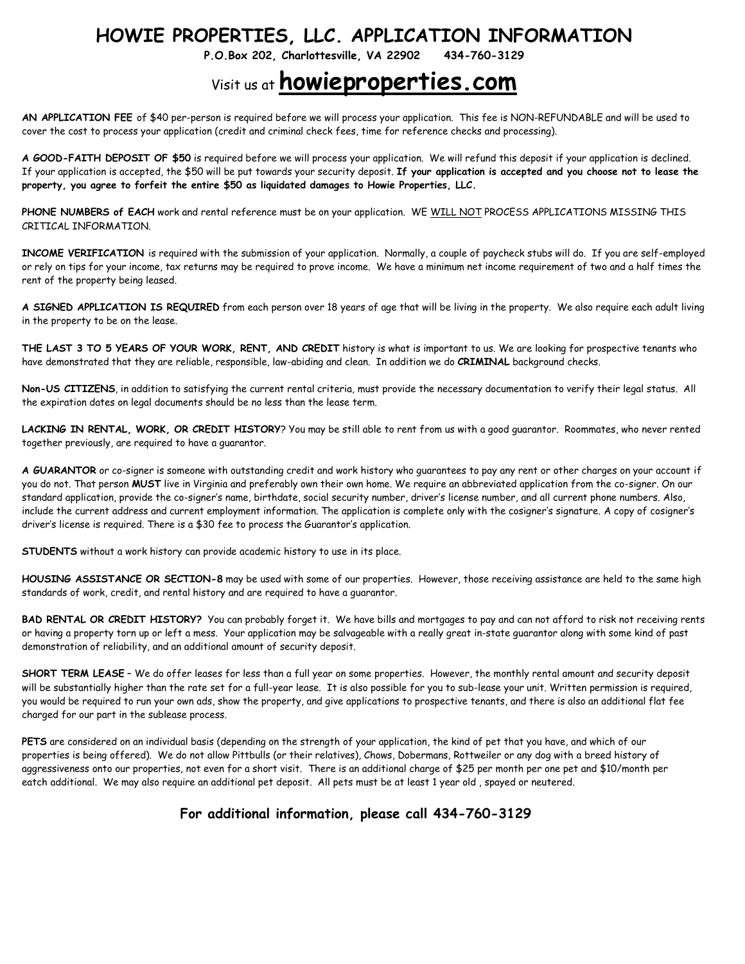## **HOWIE PROPERTIES, LLC. APPLICATION INFORMATION**

**P.O.Box 202, Charlottesville, VA 22902 434-760-3129**

## Visit us at **howieproperties.com**

**AN APPLICATION FEE** of \$40 per-person is required before we will process your application. This fee is NON-REFUNDABLE and will be used to cover the cost to process your application (credit and criminal check fees, time for reference checks and processing).

**A GOOD-FAITH DEPOSIT OF \$50** is required before we will process your application. We will refund this deposit if your application is declined. If your application is accepted, the \$50 will be put towards your security deposit. **If your application is accepted and you choose not to lease the property, you agree to forfeit the entire \$50 as liquidated damages to Howie Properties, LLC.**

**PHONE NUMBERS of EACH** work and rental reference must be on your application. WE WILL NOT PROCESS APPLICATIONS MISSING THIS CRITICAL INFORMATION.

**INCOME VERIFICATION** is required with the submission of your application. Normally, a couple of paycheck stubs will do. If you are self-employed or rely on tips for your income, tax returns may be required to prove income. We have a minimum net income requirement of two and a half times the rent of the property being leased.

**A SIGNED APPLICATION IS REQUIRED** from each person over 18 years of age that will be living in the property. We also require each adult living in the property to be on the lease.

**THE LAST 3 TO 5 YEARS OF YOUR WORK, RENT, AND CREDIT** history is what is important to us. We are looking for prospective tenants who have demonstrated that they are reliable, responsible, law-abiding and clean. In addition we do **CRIMINAL** background checks.

**Non-US CITIZENS**, in addition to satisfying the current rental criteria, must provide the necessary documentation to verify their legal status. All the expiration dates on legal documents should be no less than the lease term.

**LACKING IN RENTAL, WORK, OR CREDIT HISTORY**? You may be still able to rent from us with a good guarantor. Roommates, who never rented together previously, are required to have a guarantor.

**A GUARANTOR** or co-signer is someone with outstanding credit and work history who guarantees to pay any rent or other charges on your account if you do not. That person **MUST** live in Virginia and preferably own their own home. We require an abbreviated application from the co-signer. On our standard application, provide the co-signer's name, birthdate, social security number, driver's license number, and all current phone numbers. Also, include the current address and current employment information. The application is complete only with the cosigner's signature. A copy of cosigner's driver's license is required. There is a \$30 fee to process the Guarantor's application.

**STUDENTS** without a work history can provide academic history to use in its place.

**HOUSING ASSISTANCE OR SECTION-8** may be used with some of our properties. However, those receiving assistance are held to the same high standards of work, credit, and rental history and are required to have a guarantor.

**BAD RENTAL OR CREDIT HISTORY?** You can probably forget it. We have bills and mortgages to pay and can not afford to risk not receiving rents or having a property torn up or left a mess. Your application may be salvageable with a really great in-state guarantor along with some kind of past demonstration of reliability, and an additional amount of security deposit.

**SHORT TERM LEASE** – We do offer leases for less than a full year on some properties. However, the monthly rental amount and security deposit will be substantially higher than the rate set for a full-year lease. It is also possible for you to sub-lease your unit. Written permission is required, you would be required to run your own ads, show the property, and give applications to prospective tenants, and there is also an additional flat fee charged for our part in the sublease process.

**PETS** are considered on an individual basis (depending on the strength of your application, the kind of pet that you have, and which of our properties is being offered). We do not allow Pittbulls (or their relatives), Chows, Dobermans, Rottweiler or any dog with a breed history of aggressiveness onto our properties, not even for a short visit. There is an additional charge of \$25 per month per one pet and \$10/month per eatch additional. We may also require an additional pet deposit. All pets must be at least 1 year old , spayed or neutered.

#### **For additional information, please call 434-760-3129**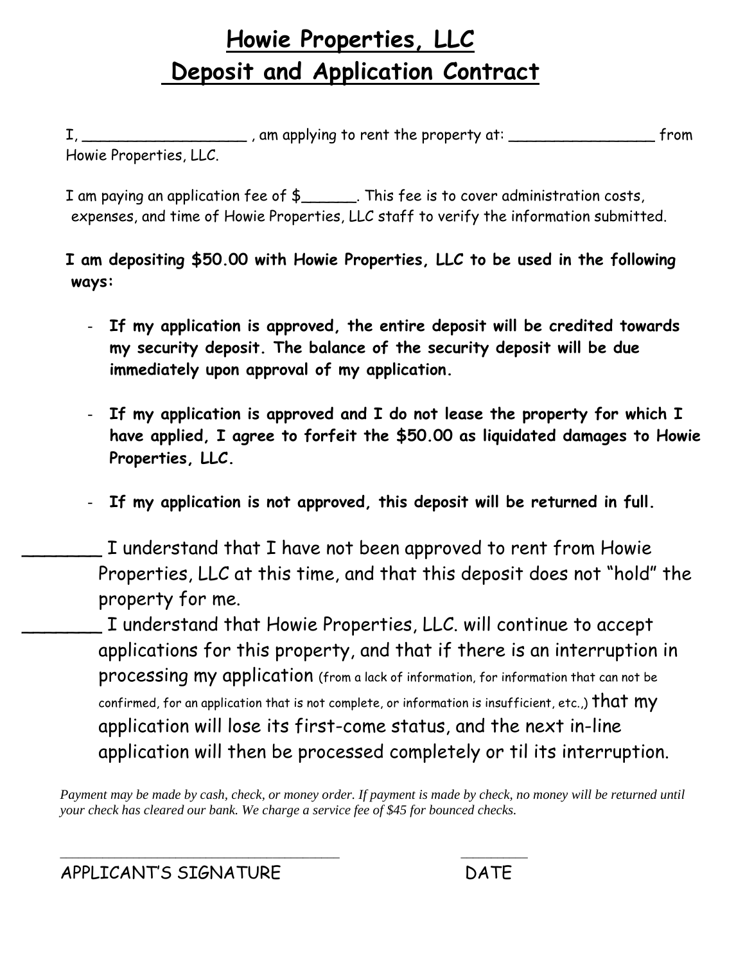# **Howie Properties, LLC Deposit and Application Contract**

I, \_\_\_\_\_\_\_\_\_\_\_\_\_\_\_\_\_\_ , am applying to rent the property at: \_\_\_\_\_\_\_\_\_\_\_\_\_\_\_\_ from Howie Properties, LLC.

I am paying an application fee of \$\_\_\_\_\_\_. This fee is to cover administration costs, expenses, and time of Howie Properties, LLC staff to verify the information submitted.

**I am depositing \$50.00 with Howie Properties, LLC to be used in the following ways:**

- **If my application is approved, the entire deposit will be credited towards my security deposit. The balance of the security deposit will be due immediately upon approval of my application.**
- **If my application is approved and I do not lease the property for which I have applied, I agree to forfeit the \$50.00 as liquidated damages to Howie Properties, LLC.**
- **If my application is not approved, this deposit will be returned in full.**
- I understand that I have not been approved to rent from Howie Properties, LLC at this time, and that this deposit does not "hold" the property for me.

\_\_\_\_\_\_\_ I understand that Howie Properties, LLC. will continue to accept applications for this property, and that if there is an interruption in processing my application (from a lack of information, for information that can not be confirmed, for an application that is not complete, or information is insufficient, etc.,)  $that$   $my$ application will lose its first-come status, and the next in-line application will then be processed completely or til its interruption.

*Payment may be made by cash, check, or money order. If payment is made by check, no money will be returned until your check has cleared our bank. We charge a service fee of \$45 for bounced checks.*

\_\_\_\_\_\_\_\_\_\_\_\_\_\_\_\_\_\_\_\_\_\_\_\_\_\_\_\_\_\_\_\_\_\_\_\_\_\_\_\_\_\_\_\_\_\_ \_\_\_\_\_\_\_\_\_\_\_

APPLICANT'S SIGNATURE DATE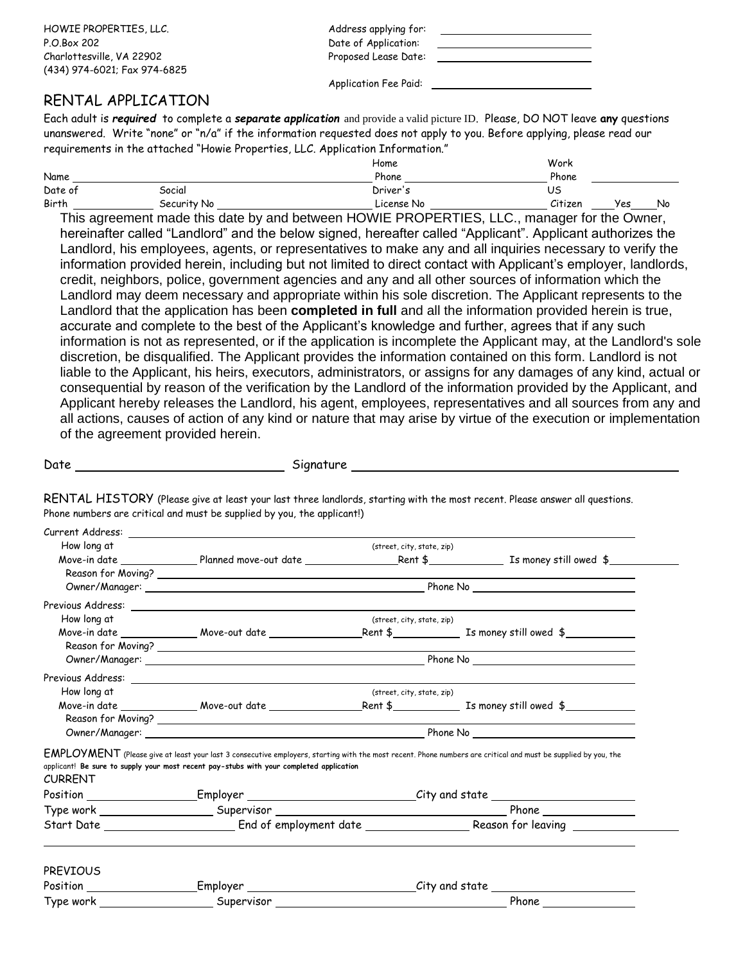HOWIE PROPERTIES, LLC. The contract of the address applying for: P.O.Box 202 Date of Application: Charlottesville, VA 22902 Proposed Lease Date: (434) 974-6021; Fax 974-6825

Application Fee Paid:

### RENTAL APPLICATION

Each adult is *required* to complete a *separate application* and provide a valid picture ID. Please, DO NOT leave **any** questions unanswered. Write "none" or "n/a" if the information requested does not apply to you. Before applying, please read our requirements in the attached "Howie Properties, LLC. Application Information."

|         |             | Home       | Work    |     |    |
|---------|-------------|------------|---------|-----|----|
| Name    |             | Phone      | Phone   |     |    |
| Date of | Social      | Driver's   | US      |     |    |
| Birth   | Security No | License No | Citizen | Yes | No |

This agreement made this date by and between HOWIE PROPERTIES, LLC., manager for the Owner, hereinafter called "Landlord" and the below signed, hereafter called "Applicant". Applicant authorizes the Landlord, his employees, agents, or representatives to make any and all inquiries necessary to verify the information provided herein, including but not limited to direct contact with Applicant's employer, landlords, credit, neighbors, police, government agencies and any and all other sources of information which the Landlord may deem necessary and appropriate within his sole discretion. The Applicant represents to the Landlord that the application has been **completed in full** and all the information provided herein is true, accurate and complete to the best of the Applicant's knowledge and further, agrees that if any such information is not as represented, or if the application is incomplete the Applicant may, at the Landlord's sole discretion, be disqualified. The Applicant provides the information contained on this form. Landlord is not liable to the Applicant, his heirs, executors, administrators, or assigns for any damages of any kind, actual or consequential by reason of the verification by the Landlord of the information provided by the Applicant, and Applicant hereby releases the Landlord, his agent, employees, representatives and all sources from any and all actions, causes of action of any kind or nature that may arise by virtue of the execution or implementation of the agreement provided herein.

Date Signature

RENTAL HISTORY (Please give at least your last three landlords, starting with the most recent. Please answer all questions. Phone numbers are critical and must be supplied by you, the applicant!)

| Current Address: |                                                                                         |                            |                                                                                                                                                                |
|------------------|-----------------------------------------------------------------------------------------|----------------------------|----------------------------------------------------------------------------------------------------------------------------------------------------------------|
| How long at      |                                                                                         | (street, city, state, zip) |                                                                                                                                                                |
|                  |                                                                                         |                            |                                                                                                                                                                |
|                  |                                                                                         |                            |                                                                                                                                                                |
|                  |                                                                                         |                            |                                                                                                                                                                |
|                  |                                                                                         |                            |                                                                                                                                                                |
| How long at      |                                                                                         | (street, city, state, zip) |                                                                                                                                                                |
|                  |                                                                                         |                            |                                                                                                                                                                |
|                  |                                                                                         |                            |                                                                                                                                                                |
|                  |                                                                                         |                            |                                                                                                                                                                |
|                  |                                                                                         |                            |                                                                                                                                                                |
| How long at      |                                                                                         | (street, city, state, zip) |                                                                                                                                                                |
|                  |                                                                                         |                            |                                                                                                                                                                |
|                  |                                                                                         |                            |                                                                                                                                                                |
|                  |                                                                                         |                            |                                                                                                                                                                |
|                  |                                                                                         |                            | EMPLOYMENT (Please give at least your last 3 consecutive employers, starting with the most recent. Phone numbers are critical and must be supplied by you, the |
|                  | applicant! Be sure to supply your most recent pay-stubs with your completed application |                            |                                                                                                                                                                |
|                  |                                                                                         |                            |                                                                                                                                                                |
|                  |                                                                                         |                            | Position ______________________Employer ____________________________City and state ___________________________                                                 |
| <b>CURRENT</b>   |                                                                                         |                            |                                                                                                                                                                |
| <b>PREVIOUS</b>  |                                                                                         |                            |                                                                                                                                                                |
|                  |                                                                                         |                            | _Employer ________________________________City and state _______________________                                                                               |